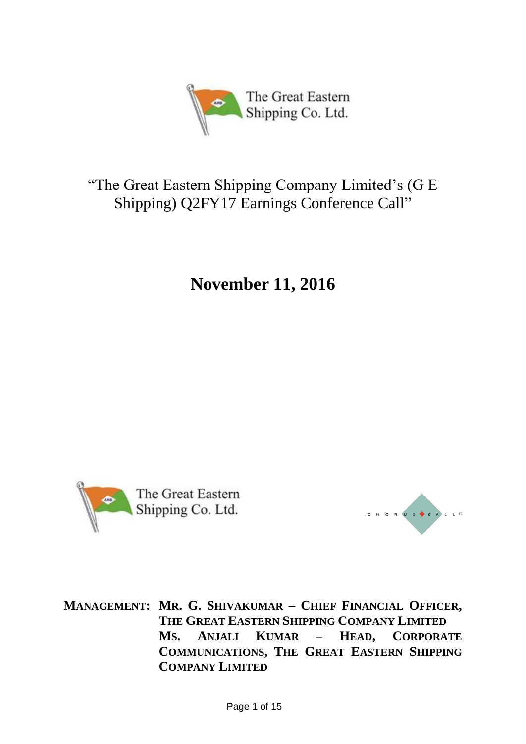

# "The Great Eastern Shipping Company Limited's (G E Shipping) Q2FY17 Earnings Conference Call"

**November 11, 2016**



CHORUS CALLE

**MANAGEMENT: MR. G. SHIVAKUMAR – CHIEF FINANCIAL OFFICER, THE GREAT EASTERN SHIPPING COMPANY LIMITED MS. ANJALI KUMAR – HEAD, CORPORATE COMMUNICATIONS, THE GREAT EASTERN SHIPPING COMPANY LIMITED**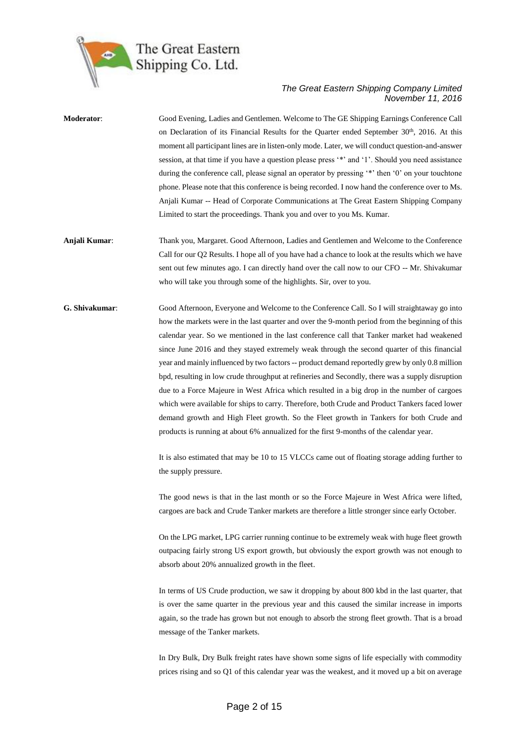

**Moderator**: Good Evening, Ladies and Gentlemen. Welcome to The GE Shipping Earnings Conference Call on Declaration of its Financial Results for the Quarter ended September  $30<sup>th</sup>$ , 2016. At this moment all participant lines are in listen-only mode. Later, we will conduct question-and-answer session, at that time if you have a question please press '\*' and '1'. Should you need assistance during the conference call, please signal an operator by pressing '\*' then '0' on your touchtone phone. Please note that this conference is being recorded. I now hand the conference over to Ms. Anjali Kumar -- Head of Corporate Communications at The Great Eastern Shipping Company Limited to start the proceedings. Thank you and over to you Ms. Kumar. **Anjali Kumar**: Thank you, Margaret. Good Afternoon, Ladies and Gentlemen and Welcome to the Conference Call for our Q2 Results. I hope all of you have had a chance to look at the results which we have sent out few minutes ago. I can directly hand over the call now to our CFO -- Mr. Shivakumar who will take you through some of the highlights. Sir, over to you. **G. Shivakumar**: Good Afternoon, Everyone and Welcome to the Conference Call. So I will straightaway go into how the markets were in the last quarter and over the 9-month period from the beginning of this calendar year. So we mentioned in the last conference call that Tanker market had weakened since June 2016 and they stayed extremely weak through the second quarter of this financial year and mainly influenced by two factors -- product demand reportedly grew by only 0.8 million bpd, resulting in low crude throughput at refineries and Secondly, there was a supply disruption due to a Force Majeure in West Africa which resulted in a big drop in the number of cargoes which were available for ships to carry. Therefore, both Crude and Product Tankers faced lower demand growth and High Fleet growth. So the Fleet growth in Tankers for both Crude and

> It is also estimated that may be 10 to 15 VLCCs came out of floating storage adding further to the supply pressure.

products is running at about 6% annualized for the first 9-months of the calendar year.

The good news is that in the last month or so the Force Majeure in West Africa were lifted, cargoes are back and Crude Tanker markets are therefore a little stronger since early October.

On the LPG market, LPG carrier running continue to be extremely weak with huge fleet growth outpacing fairly strong US export growth, but obviously the export growth was not enough to absorb about 20% annualized growth in the fleet.

In terms of US Crude production, we saw it dropping by about 800 kbd in the last quarter, that is over the same quarter in the previous year and this caused the similar increase in imports again, so the trade has grown but not enough to absorb the strong fleet growth. That is a broad message of the Tanker markets.

In Dry Bulk, Dry Bulk freight rates have shown some signs of life especially with commodity prices rising and so Q1 of this calendar year was the weakest, and it moved up a bit on average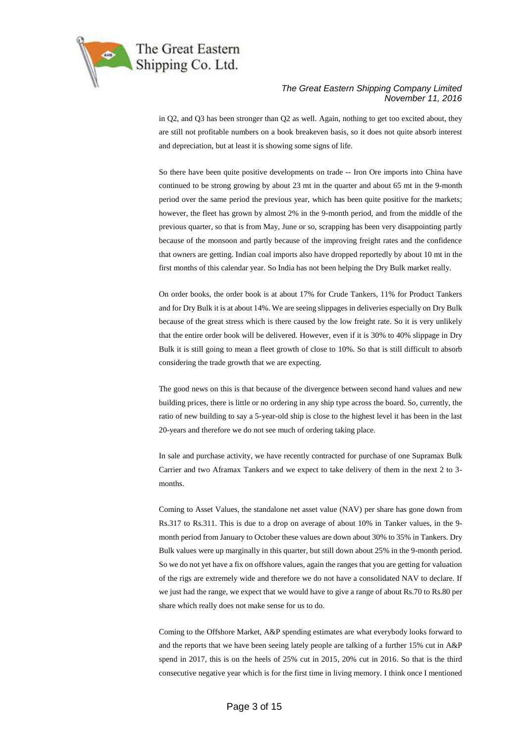

in Q2, and Q3 has been stronger than Q2 as well. Again, nothing to get too excited about, they are still not profitable numbers on a book breakeven basis, so it does not quite absorb interest and depreciation, but at least it is showing some signs of life.

So there have been quite positive developments on trade -- Iron Ore imports into China have continued to be strong growing by about 23 mt in the quarter and about 65 mt in the 9-month period over the same period the previous year, which has been quite positive for the markets; however, the fleet has grown by almost 2% in the 9-month period, and from the middle of the previous quarter, so that is from May, June or so, scrapping has been very disappointing partly because of the monsoon and partly because of the improving freight rates and the confidence that owners are getting. Indian coal imports also have dropped reportedly by about 10 mt in the first months of this calendar year. So India has not been helping the Dry Bulk market really.

On order books, the order book is at about 17% for Crude Tankers, 11% for Product Tankers and for Dry Bulk it is at about 14%. We are seeing slippages in deliveries especially on Dry Bulk because of the great stress which is there caused by the low freight rate. So it is very unlikely that the entire order book will be delivered. However, even if it is 30% to 40% slippage in Dry Bulk it is still going to mean a fleet growth of close to 10%. So that is still difficult to absorb considering the trade growth that we are expecting.

The good news on this is that because of the divergence between second hand values and new building prices, there is little or no ordering in any ship type across the board. So, currently, the ratio of new building to say a 5-year-old ship is close to the highest level it has been in the last 20-years and therefore we do not see much of ordering taking place.

In sale and purchase activity, we have recently contracted for purchase of one Supramax Bulk Carrier and two Aframax Tankers and we expect to take delivery of them in the next 2 to 3 months.

Coming to Asset Values, the standalone net asset value (NAV) per share has gone down from Rs.317 to Rs.311. This is due to a drop on average of about 10% in Tanker values, in the 9 month period from January to October these values are down about 30% to 35% in Tankers. Dry Bulk values were up marginally in this quarter, but still down about 25% in the 9-month period. So we do not yet have a fix on offshore values, again the ranges that you are getting for valuation of the rigs are extremely wide and therefore we do not have a consolidated NAV to declare. If we just had the range, we expect that we would have to give a range of about Rs.70 to Rs.80 per share which really does not make sense for us to do.

Coming to the Offshore Market, A&P spending estimates are what everybody looks forward to and the reports that we have been seeing lately people are talking of a further 15% cut in A&P spend in 2017, this is on the heels of 25% cut in 2015, 20% cut in 2016. So that is the third consecutive negative year which is for the first time in living memory. I think once I mentioned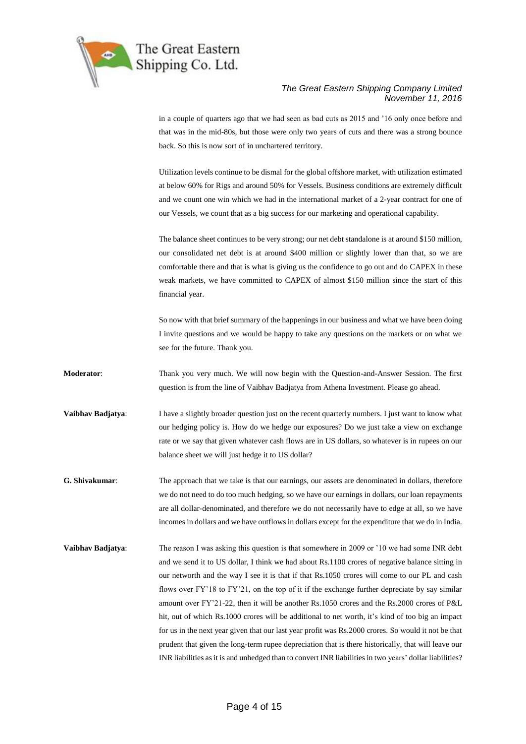

in a couple of quarters ago that we had seen as bad cuts as 2015 and '16 only once before and that was in the mid-80s, but those were only two years of cuts and there was a strong bounce back. So this is now sort of in unchartered territory.

Utilization levels continue to be dismal for the global offshore market, with utilization estimated at below 60% for Rigs and around 50% for Vessels. Business conditions are extremely difficult and we count one win which we had in the international market of a 2-year contract for one of our Vessels, we count that as a big success for our marketing and operational capability.

The balance sheet continues to be very strong; our net debt standalone is at around \$150 million, our consolidated net debt is at around \$400 million or slightly lower than that, so we are comfortable there and that is what is giving us the confidence to go out and do CAPEX in these weak markets, we have committed to CAPEX of almost \$150 million since the start of this financial year.

So now with that brief summary of the happenings in our business and what we have been doing I invite questions and we would be happy to take any questions on the markets or on what we see for the future. Thank you.

- **Moderator**: Thank you very much. We will now begin with the Question-and-Answer Session. The first question is from the line of Vaibhav Badjatya from Athena Investment. Please go ahead.
- **Vaibhav Badjatya:** I have a slightly broader question just on the recent quarterly numbers. I just want to know what our hedging policy is. How do we hedge our exposures? Do we just take a view on exchange rate or we say that given whatever cash flows are in US dollars, so whatever is in rupees on our balance sheet we will just hedge it to US dollar?
- **G. Shivakumar**: The approach that we take is that our earnings, our assets are denominated in dollars, therefore we do not need to do too much hedging, so we have our earnings in dollars, our loan repayments are all dollar-denominated, and therefore we do not necessarily have to edge at all, so we have incomes in dollars and we have outflows in dollars except for the expenditure that we do in India.
- **Vaibhav Badjatya:** The reason I was asking this question is that somewhere in 2009 or '10 we had some INR debt and we send it to US dollar, I think we had about Rs.1100 crores of negative balance sitting in our networth and the way I see it is that if that Rs.1050 crores will come to our PL and cash flows over FY'18 to FY'21, on the top of it if the exchange further depreciate by say similar amount over FY'21-22, then it will be another Rs.1050 crores and the Rs.2000 crores of P&L hit, out of which Rs.1000 crores will be additional to net worth, it's kind of too big an impact for us in the next year given that our last year profit was Rs.2000 crores. So would it not be that prudent that given the long-term rupee depreciation that is there historically, that will leave our INR liabilities as it is and unhedged than to convert INR liabilities in two years' dollar liabilities?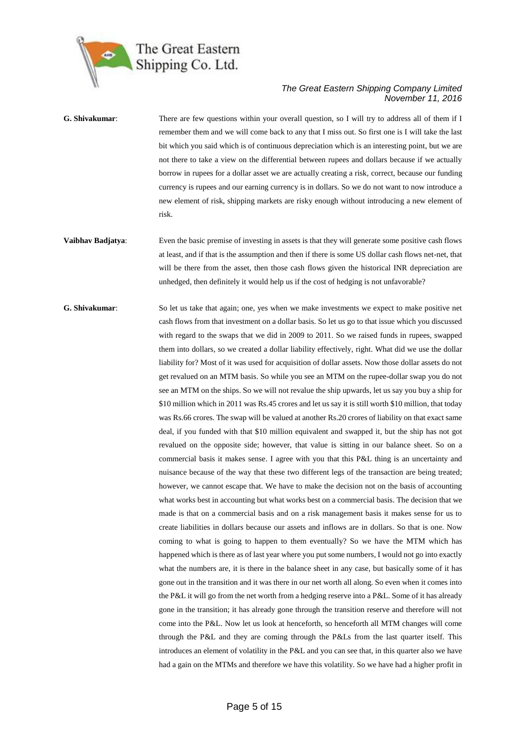

- **G. Shivakumar**: There are few questions within your overall question, so I will try to address all of them if I remember them and we will come back to any that I miss out. So first one is I will take the last bit which you said which is of continuous depreciation which is an interesting point, but we are not there to take a view on the differential between rupees and dollars because if we actually borrow in rupees for a dollar asset we are actually creating a risk, correct, because our funding currency is rupees and our earning currency is in dollars. So we do not want to now introduce a new element of risk, shipping markets are risky enough without introducing a new element of risk.
- **Vaibhav Badjatya:** Even the basic premise of investing in assets is that they will generate some positive cash flows at least, and if that is the assumption and then if there is some US dollar cash flows net-net, that will be there from the asset, then those cash flows given the historical INR depreciation are unhedged, then definitely it would help us if the cost of hedging is not unfavorable?
- **G. Shivakumar**: So let us take that again; one, yes when we make investments we expect to make positive net cash flows from that investment on a dollar basis. So let us go to that issue which you discussed with regard to the swaps that we did in 2009 to 2011. So we raised funds in rupees, swapped them into dollars, so we created a dollar liability effectively, right. What did we use the dollar liability for? Most of it was used for acquisition of dollar assets. Now those dollar assets do not get revalued on an MTM basis. So while you see an MTM on the rupee-dollar swap you do not see an MTM on the ships. So we will not revalue the ship upwards, let us say you buy a ship for \$10 million which in 2011 was Rs.45 crores and let us say it is still worth \$10 million, that today was Rs.66 crores. The swap will be valued at another Rs.20 crores of liability on that exact same deal, if you funded with that \$10 million equivalent and swapped it, but the ship has not got revalued on the opposite side; however, that value is sitting in our balance sheet. So on a commercial basis it makes sense. I agree with you that this P&L thing is an uncertainty and nuisance because of the way that these two different legs of the transaction are being treated; however, we cannot escape that. We have to make the decision not on the basis of accounting what works best in accounting but what works best on a commercial basis. The decision that we made is that on a commercial basis and on a risk management basis it makes sense for us to create liabilities in dollars because our assets and inflows are in dollars. So that is one. Now coming to what is going to happen to them eventually? So we have the MTM which has happened which is there as of last year where you put some numbers, I would not go into exactly what the numbers are, it is there in the balance sheet in any case, but basically some of it has gone out in the transition and it was there in our net worth all along. So even when it comes into the P&L it will go from the net worth from a hedging reserve into a P&L. Some of it has already gone in the transition; it has already gone through the transition reserve and therefore will not come into the P&L. Now let us look at henceforth, so henceforth all MTM changes will come through the P&L and they are coming through the P&Ls from the last quarter itself. This introduces an element of volatility in the P&L and you can see that, in this quarter also we have had a gain on the MTMs and therefore we have this volatility. So we have had a higher profit in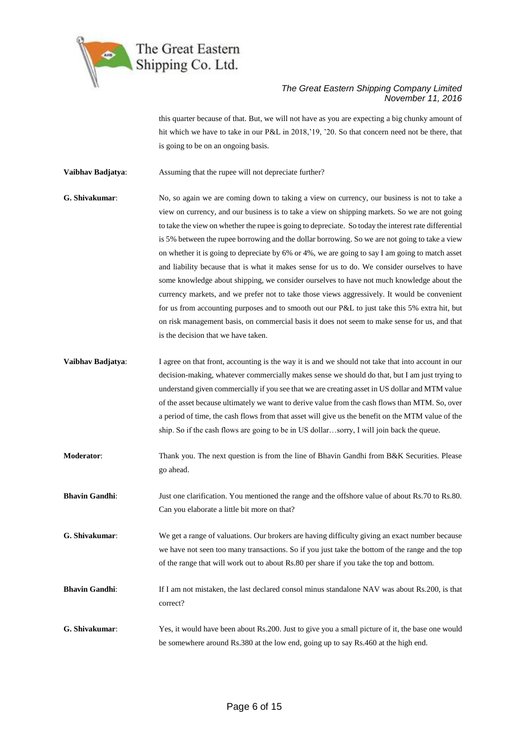

this quarter because of that. But, we will not have as you are expecting a big chunky amount of hit which we have to take in our P&L in 2018, '19, '20. So that concern need not be there, that is going to be on an ongoing basis.

**Vaibhav Badjatya**: Assuming that the rupee will not depreciate further?

- **G. Shivakumar**: No, so again we are coming down to taking a view on currency, our business is not to take a view on currency, and our business is to take a view on shipping markets. So we are not going to take the view on whether the rupee is going to depreciate. So today the interest rate differential is 5% between the rupee borrowing and the dollar borrowing. So we are not going to take a view on whether it is going to depreciate by 6% or 4%, we are going to say I am going to match asset and liability because that is what it makes sense for us to do. We consider ourselves to have some knowledge about shipping, we consider ourselves to have not much knowledge about the currency markets, and we prefer not to take those views aggressively. It would be convenient for us from accounting purposes and to smooth out our P&L to just take this 5% extra hit, but on risk management basis, on commercial basis it does not seem to make sense for us, and that is the decision that we have taken.
- **Vaibhav Badjatya:** I agree on that front, accounting is the way it is and we should not take that into account in our decision-making, whatever commercially makes sense we should do that, but I am just trying to understand given commercially if you see that we are creating asset in US dollar and MTM value of the asset because ultimately we want to derive value from the cash flows than MTM. So, over a period of time, the cash flows from that asset will give us the benefit on the MTM value of the ship. So if the cash flows are going to be in US dollar…sorry, I will join back the queue.
- **Moderator:** Thank you. The next question is from the line of Bhavin Gandhi from B&K Securities. Please go ahead.
- **Bhavin Gandhi:** Just one clarification. You mentioned the range and the offshore value of about Rs.70 to Rs.80. Can you elaborate a little bit more on that?
- **G. Shivakumar**: We get a range of valuations. Our brokers are having difficulty giving an exact number because we have not seen too many transactions. So if you just take the bottom of the range and the top of the range that will work out to about Rs.80 per share if you take the top and bottom.
- **Bhavin Gandhi**: If I am not mistaken, the last declared consol minus standalone NAV was about Rs.200, is that correct?
- **G. Shivakumar**: Yes, it would have been about Rs.200. Just to give you a small picture of it, the base one would be somewhere around Rs.380 at the low end, going up to say Rs.460 at the high end.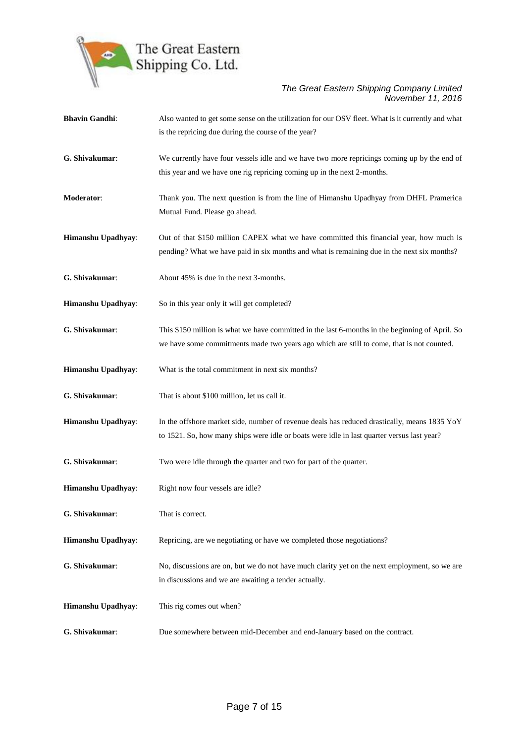

| <b>Bhavin Gandhi:</b> | Also wanted to get some sense on the utilization for our OSV fleet. What is it currently and what<br>is the repricing due during the course of the year?                                     |
|-----------------------|----------------------------------------------------------------------------------------------------------------------------------------------------------------------------------------------|
| G. Shivakumar:        | We currently have four vessels idle and we have two more repricings coming up by the end of<br>this year and we have one rig repricing coming up in the next 2-months.                       |
| Moderator:            | Thank you. The next question is from the line of Himanshu Upadhyay from DHFL Pramerica<br>Mutual Fund. Please go ahead.                                                                      |
| Himanshu Upadhyay:    | Out of that \$150 million CAPEX what we have committed this financial year, how much is<br>pending? What we have paid in six months and what is remaining due in the next six months?        |
| G. Shivakumar:        | About 45% is due in the next 3-months.                                                                                                                                                       |
| Himanshu Upadhyay:    | So in this year only it will get completed?                                                                                                                                                  |
| G. Shivakumar:        | This \$150 million is what we have committed in the last 6-months in the beginning of April. So<br>we have some commitments made two years ago which are still to come, that is not counted. |
| Himanshu Upadhyay:    | What is the total commitment in next six months?                                                                                                                                             |
| G. Shivakumar:        | That is about \$100 million, let us call it.                                                                                                                                                 |
| Himanshu Upadhyay:    | In the offshore market side, number of revenue deals has reduced drastically, means 1835 YoY<br>to 1521. So, how many ships were idle or boats were idle in last quarter versus last year?   |
| G. Shivakumar:        | Two were idle through the quarter and two for part of the quarter.                                                                                                                           |
| Himanshu Upadhyay:    | Right now four vessels are idle?                                                                                                                                                             |
| G. Shivakumar:        | That is correct.                                                                                                                                                                             |
| Himanshu Upadhyay:    | Repricing, are we negotiating or have we completed those negotiations?                                                                                                                       |
| G. Shivakumar:        | No, discussions are on, but we do not have much clarity yet on the next employment, so we are<br>in discussions and we are awaiting a tender actually.                                       |
| Himanshu Upadhyay:    | This rig comes out when?                                                                                                                                                                     |
| G. Shivakumar:        | Due somewhere between mid-December and end-January based on the contract.                                                                                                                    |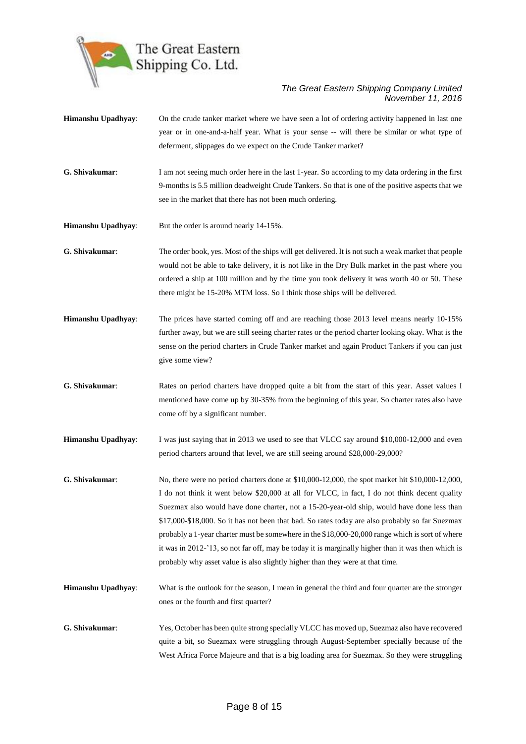

- **Himanshu Upadhyay**: On the crude tanker market where we have seen a lot of ordering activity happened in last one year or in one-and-a-half year. What is your sense -- will there be similar or what type of deferment, slippages do we expect on the Crude Tanker market?
- **G. Shivakumar**: I am not seeing much order here in the last 1-year. So according to my data ordering in the first 9-months is 5.5 million deadweight Crude Tankers. So that is one of the positive aspects that we see in the market that there has not been much ordering.
- **Himanshu Upadhyay**: But the order is around nearly 14-15%.
- **G. Shivakumar**: The order book, yes. Most of the ships will get delivered. It is not such a weak market that people would not be able to take delivery, it is not like in the Dry Bulk market in the past where you ordered a ship at 100 million and by the time you took delivery it was worth 40 or 50. These there might be 15-20% MTM loss. So I think those ships will be delivered.
- **Himanshu Upadhyay**: The prices have started coming off and are reaching those 2013 level means nearly 10-15% further away, but we are still seeing charter rates or the period charter looking okay. What is the sense on the period charters in Crude Tanker market and again Product Tankers if you can just give some view?
- **G. Shivakumar**: Rates on period charters have dropped quite a bit from the start of this year. Asset values I mentioned have come up by 30-35% from the beginning of this year. So charter rates also have come off by a significant number.
- **Himanshu Upadhyay**: I was just saying that in 2013 we used to see that VLCC say around \$10,000-12,000 and even period charters around that level, we are still seeing around \$28,000-29,000?
- **G. Shivakumar**: No, there were no period charters done at \$10,000-12,000, the spot market hit \$10,000-12,000, I do not think it went below \$20,000 at all for VLCC, in fact, I do not think decent quality Suezmax also would have done charter, not a 15-20-year-old ship, would have done less than \$17,000-\$18,000. So it has not been that bad. So rates today are also probably so far Suezmax probably a 1-year charter must be somewhere in the \$18,000-20,000 range which is sort of where it was in 2012-'13, so not far off, may be today it is marginally higher than it was then which is probably why asset value is also slightly higher than they were at that time.
- **Himanshu Upadhyay**: What is the outlook for the season, I mean in general the third and four quarter are the stronger ones or the fourth and first quarter?
- **G. Shivakumar**: Yes, October has been quite strong specially VLCC has moved up, Suezmaz also have recovered quite a bit, so Suezmax were struggling through August-September specially because of the West Africa Force Majeure and that is a big loading area for Suezmax. So they were struggling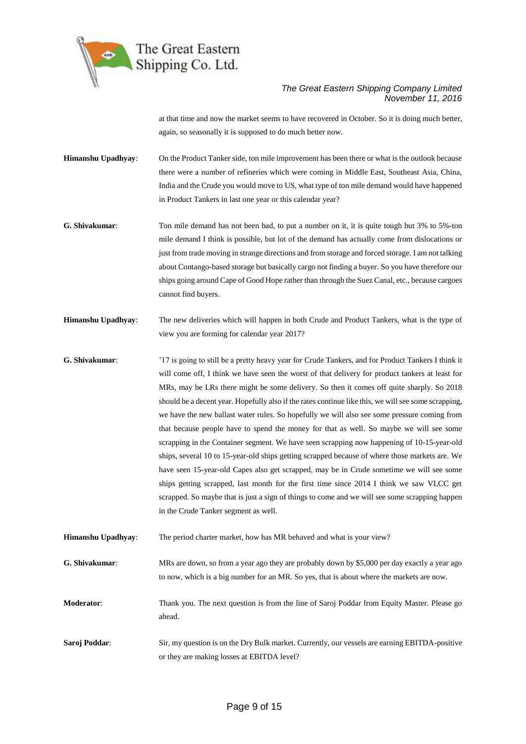

at that time and now the market seems to have recovered in October. So it is doing much better, again, so seasonally it is supposed to do much better now.

**Himanshu Upadhyay**: On the Product Tanker side, ton mile improvement has been there or what is the outlook because there were a number of refineries which were coming in Middle East, Southeast Asia, China, India and the Crude you would move to US, what type of ton mile demand would have happened in Product Tankers in last one year or this calendar year?

- **G. Shivakumar**: Ton mile demand has not been bad, to put a number on it, it is quite tough but 3% to 5%-ton mile demand I think is possible, but lot of the demand has actually come from dislocations or just from trade moving in strange directions and from storage and forced storage. I am not talking about Contango-based storage but basically cargo not finding a buyer. So you have therefore our ships going around Cape of Good Hope rather than through the Suez Canal, etc., because cargoes cannot find buyers.
- **Himanshu Upadhyay**: The new deliveries which will happen in both Crude and Product Tankers, what is the type of view you are forming for calendar year 2017?
- **G. Shivakumar**: '17 is going to still be a pretty heavy year for Crude Tankers, and for Product Tankers I think it will come off, I think we have seen the worst of that delivery for product tankers at least for MRs, may be LRs there might be some delivery. So then it comes off quite sharply. So 2018 should be a decent year. Hopefully also if the rates continue like this, we will see some scrapping, we have the new ballast water rules. So hopefully we will also see some pressure coming from that because people have to spend the money for that as well. So maybe we will see some scrapping in the Container segment. We have seen scrapping now happening of 10-15-year-old ships, several 10 to 15-year-old ships getting scrapped because of where those markets are. We have seen 15-year-old Capes also get scrapped, may be in Crude sometime we will see some ships getting scrapped, last month for the first time since 2014 I think we saw VLCC get scrapped. So maybe that is just a sign of things to come and we will see some scrapping happen in the Crude Tanker segment as well.
- **Himanshu Upadhyay**: The period charter market, how has MR behaved and what is your view?
- **G. Shivakumar**: MRs are down, so from a year ago they are probably down by \$5,000 per day exactly a year ago to now, which is a big number for an MR. So yes, that is about where the markets are now.

**Moderator**: Thank you. The next question is from the line of Saroj Poddar from Equity Master. Please go ahead.

**Saroj Poddar**: Sir, my question is on the Dry Bulk market. Currently, our vessels are earning EBITDA-positive or they are making losses at EBITDA level?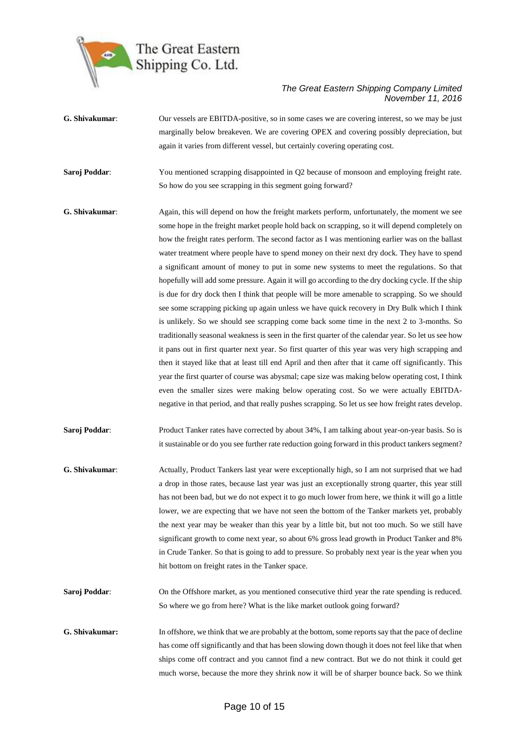

- **G. Shivakumar**: Our vessels are EBITDA-positive, so in some cases we are covering interest, so we may be just marginally below breakeven. We are covering OPEX and covering possibly depreciation, but again it varies from different vessel, but certainly covering operating cost.
- **Saroj Poddar:** You mentioned scrapping disappointed in Q2 because of monsoon and employing freight rate. So how do you see scrapping in this segment going forward?
- **G. Shivakumar**: Again, this will depend on how the freight markets perform, unfortunately, the moment we see some hope in the freight market people hold back on scrapping, so it will depend completely on how the freight rates perform. The second factor as I was mentioning earlier was on the ballast water treatment where people have to spend money on their next dry dock. They have to spend a significant amount of money to put in some new systems to meet the regulations. So that hopefully will add some pressure. Again it will go according to the dry docking cycle. If the ship is due for dry dock then I think that people will be more amenable to scrapping. So we should see some scrapping picking up again unless we have quick recovery in Dry Bulk which I think is unlikely. So we should see scrapping come back some time in the next 2 to 3-months. So traditionally seasonal weakness is seen in the first quarter of the calendar year. So let us see how it pans out in first quarter next year. So first quarter of this year was very high scrapping and then it stayed like that at least till end April and then after that it came off significantly. This year the first quarter of course was abysmal; cape size was making below operating cost, I think even the smaller sizes were making below operating cost. So we were actually EBITDAnegative in that period, and that really pushes scrapping. So let us see how freight rates develop.
- **Saroj Poddar:** Product Tanker rates have corrected by about 34%, I am talking about year-on-year basis. So is it sustainable or do you see further rate reduction going forward in this product tankers segment?
- **G. Shivakumar**: Actually, Product Tankers last year were exceptionally high, so I am not surprised that we had a drop in those rates, because last year was just an exceptionally strong quarter, this year still has not been bad, but we do not expect it to go much lower from here, we think it will go a little lower, we are expecting that we have not seen the bottom of the Tanker markets yet, probably the next year may be weaker than this year by a little bit, but not too much. So we still have significant growth to come next year, so about 6% gross lead growth in Product Tanker and 8% in Crude Tanker. So that is going to add to pressure. So probably next year is the year when you hit bottom on freight rates in the Tanker space.
- **Saroj Poddar:** On the Offshore market, as you mentioned consecutive third year the rate spending is reduced. So where we go from here? What is the like market outlook going forward?
- **G. Shivakumar:** In offshore, we think that we are probably at the bottom, some reports say that the pace of decline has come off significantly and that has been slowing down though it does not feel like that when ships come off contract and you cannot find a new contract. But we do not think it could get much worse, because the more they shrink now it will be of sharper bounce back. So we think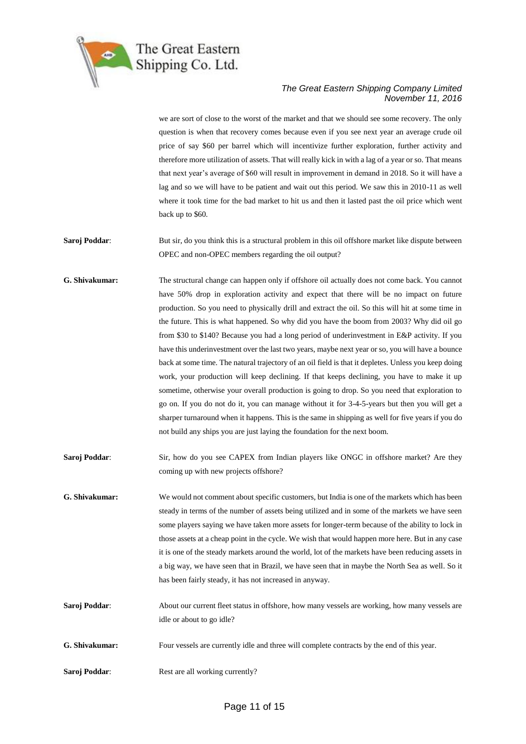

we are sort of close to the worst of the market and that we should see some recovery. The only question is when that recovery comes because even if you see next year an average crude oil price of say \$60 per barrel which will incentivize further exploration, further activity and therefore more utilization of assets. That will really kick in with a lag of a year or so. That means that next year's average of \$60 will result in improvement in demand in 2018. So it will have a lag and so we will have to be patient and wait out this period. We saw this in 2010-11 as well where it took time for the bad market to hit us and then it lasted past the oil price which went back up to \$60.

**Saroj Poddar:** But sir, do you think this is a structural problem in this oil offshore market like dispute between OPEC and non-OPEC members regarding the oil output?

- **G. Shivakumar:** The structural change can happen only if offshore oil actually does not come back. You cannot have 50% drop in exploration activity and expect that there will be no impact on future production. So you need to physically drill and extract the oil. So this will hit at some time in the future. This is what happened. So why did you have the boom from 2003? Why did oil go from \$30 to \$140? Because you had a long period of underinvestment in E&P activity. If you have this underinvestment over the last two years, maybe next year or so, you will have a bounce back at some time. The natural trajectory of an oil field is that it depletes. Unless you keep doing work, your production will keep declining. If that keeps declining, you have to make it up sometime, otherwise your overall production is going to drop. So you need that exploration to go on. If you do not do it, you can manage without it for 3-4-5-years but then you will get a sharper turnaround when it happens. This is the same in shipping as well for five years if you do not build any ships you are just laying the foundation for the next boom.
- **Saroj Poddar:** Sir, how do you see CAPEX from Indian players like ONGC in offshore market? Are they coming up with new projects offshore?
- **G. Shivakumar:** We would not comment about specific customers, but India is one of the markets which has been steady in terms of the number of assets being utilized and in some of the markets we have seen some players saying we have taken more assets for longer-term because of the ability to lock in those assets at a cheap point in the cycle. We wish that would happen more here. But in any case it is one of the steady markets around the world, lot of the markets have been reducing assets in a big way, we have seen that in Brazil, we have seen that in maybe the North Sea as well. So it has been fairly steady, it has not increased in anyway.
- **Saroj Poddar:** About our current fleet status in offshore, how many vessels are working, how many vessels are idle or about to go idle?
- **G. Shivakumar:** Four vessels are currently idle and three will complete contracts by the end of this year.
- **Saroj Poddar:** Rest are all working currently?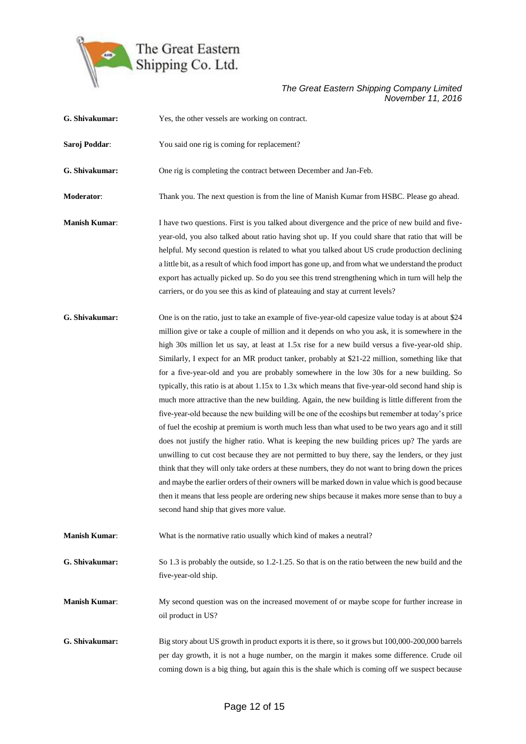

| G. Shivakumar:       | Yes, the other vessels are working on contract.                                                                                                                                                                                                                                                                                                                                                                                                                                                                                                                                                                                                                                                                                                                                                                                                                                                                                                                                                                                                                                                                                                                                                                                                                                                                                                                                                                                                                                     |
|----------------------|-------------------------------------------------------------------------------------------------------------------------------------------------------------------------------------------------------------------------------------------------------------------------------------------------------------------------------------------------------------------------------------------------------------------------------------------------------------------------------------------------------------------------------------------------------------------------------------------------------------------------------------------------------------------------------------------------------------------------------------------------------------------------------------------------------------------------------------------------------------------------------------------------------------------------------------------------------------------------------------------------------------------------------------------------------------------------------------------------------------------------------------------------------------------------------------------------------------------------------------------------------------------------------------------------------------------------------------------------------------------------------------------------------------------------------------------------------------------------------------|
| Saroj Poddar:        | You said one rig is coming for replacement?                                                                                                                                                                                                                                                                                                                                                                                                                                                                                                                                                                                                                                                                                                                                                                                                                                                                                                                                                                                                                                                                                                                                                                                                                                                                                                                                                                                                                                         |
| G. Shivakumar:       | One rig is completing the contract between December and Jan-Feb.                                                                                                                                                                                                                                                                                                                                                                                                                                                                                                                                                                                                                                                                                                                                                                                                                                                                                                                                                                                                                                                                                                                                                                                                                                                                                                                                                                                                                    |
| Moderator:           | Thank you. The next question is from the line of Manish Kumar from HSBC. Please go ahead.                                                                                                                                                                                                                                                                                                                                                                                                                                                                                                                                                                                                                                                                                                                                                                                                                                                                                                                                                                                                                                                                                                                                                                                                                                                                                                                                                                                           |
| <b>Manish Kumar:</b> | I have two questions. First is you talked about divergence and the price of new build and five-<br>year-old, you also talked about ratio having shot up. If you could share that ratio that will be<br>helpful. My second question is related to what you talked about US crude production declining<br>a little bit, as a result of which food import has gone up, and from what we understand the product<br>export has actually picked up. So do you see this trend strengthening which in turn will help the<br>carriers, or do you see this as kind of plateauing and stay at current levels?                                                                                                                                                                                                                                                                                                                                                                                                                                                                                                                                                                                                                                                                                                                                                                                                                                                                                  |
| G. Shivakumar:       | One is on the ratio, just to take an example of five-year-old capesize value today is at about \$24<br>million give or take a couple of million and it depends on who you ask, it is somewhere in the<br>high 30s million let us say, at least at 1.5x rise for a new build versus a five-year-old ship.<br>Similarly, I expect for an MR product tanker, probably at \$21-22 million, something like that<br>for a five-year-old and you are probably somewhere in the low 30s for a new building. So<br>typically, this ratio is at about 1.15x to 1.3x which means that five-year-old second hand ship is<br>much more attractive than the new building. Again, the new building is little different from the<br>five-year-old because the new building will be one of the ecoships but remember at today's price<br>of fuel the ecoship at premium is worth much less than what used to be two years ago and it still<br>does not justify the higher ratio. What is keeping the new building prices up? The yards are<br>unwilling to cut cost because they are not permitted to buy there, say the lenders, or they just<br>think that they will only take orders at these numbers, they do not want to bring down the prices<br>and maybe the earlier orders of their owners will be marked down in value which is good because<br>then it means that less people are ordering new ships because it makes more sense than to buy a<br>second hand ship that gives more value. |
| <b>Manish Kumar:</b> | What is the normative ratio usually which kind of makes a neutral?                                                                                                                                                                                                                                                                                                                                                                                                                                                                                                                                                                                                                                                                                                                                                                                                                                                                                                                                                                                                                                                                                                                                                                                                                                                                                                                                                                                                                  |
| G. Shivakumar:       | So 1.3 is probably the outside, so 1.2-1.25. So that is on the ratio between the new build and the<br>five-year-old ship.                                                                                                                                                                                                                                                                                                                                                                                                                                                                                                                                                                                                                                                                                                                                                                                                                                                                                                                                                                                                                                                                                                                                                                                                                                                                                                                                                           |
| <b>Manish Kumar:</b> | My second question was on the increased movement of or maybe scope for further increase in<br>oil product in US?                                                                                                                                                                                                                                                                                                                                                                                                                                                                                                                                                                                                                                                                                                                                                                                                                                                                                                                                                                                                                                                                                                                                                                                                                                                                                                                                                                    |
| G. Shivakumar:       | Big story about US growth in product exports it is there, so it grows but 100,000-200,000 barrels<br>per day growth, it is not a huge number, on the margin it makes some difference. Crude oil<br>coming down is a big thing, but again this is the shale which is coming off we suspect because                                                                                                                                                                                                                                                                                                                                                                                                                                                                                                                                                                                                                                                                                                                                                                                                                                                                                                                                                                                                                                                                                                                                                                                   |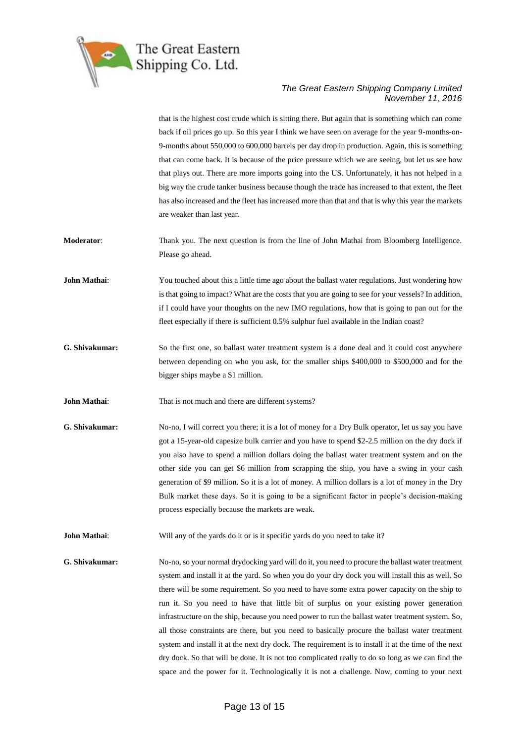

that is the highest cost crude which is sitting there. But again that is something which can come back if oil prices go up. So this year I think we have seen on average for the year 9-months-on-9-months about 550,000 to 600,000 barrels per day drop in production. Again, this is something that can come back. It is because of the price pressure which we are seeing, but let us see how that plays out. There are more imports going into the US. Unfortunately, it has not helped in a big way the crude tanker business because though the trade has increased to that extent, the fleet has also increased and the fleet has increased more than that and that is why this year the markets are weaker than last year.

**Moderator**: Thank you. The next question is from the line of John Mathai from Bloomberg Intelligence. Please go ahead.

- **John Mathai**: You touched about this a little time ago about the ballast water regulations. Just wondering how is that going to impact? What are the costs that you are going to see for your vessels? In addition, if I could have your thoughts on the new IMO regulations, how that is going to pan out for the fleet especially if there is sufficient 0.5% sulphur fuel available in the Indian coast?
- **G. Shivakumar:** So the first one, so ballast water treatment system is a done deal and it could cost anywhere between depending on who you ask, for the smaller ships \$400,000 to \$500,000 and for the bigger ships maybe a \$1 million.
- **John Mathai**: That is not much and there are different systems?
- **G. Shivakumar:** No-no, I will correct you there; it is a lot of money for a Dry Bulk operator, let us say you have got a 15-year-old capesize bulk carrier and you have to spend \$2-2.5 million on the dry dock if you also have to spend a million dollars doing the ballast water treatment system and on the other side you can get \$6 million from scrapping the ship, you have a swing in your cash generation of \$9 million. So it is a lot of money. A million dollars is a lot of money in the Dry Bulk market these days. So it is going to be a significant factor in people's decision-making process especially because the markets are weak.
- **John Mathai:** Will any of the yards do it or is it specific yards do you need to take it?
- **G. Shivakumar:** No-no, so your normal drydocking yard will do it, you need to procure the ballast water treatment system and install it at the yard. So when you do your dry dock you will install this as well. So there will be some requirement. So you need to have some extra power capacity on the ship to run it. So you need to have that little bit of surplus on your existing power generation infrastructure on the ship, because you need power to run the ballast water treatment system. So, all those constraints are there, but you need to basically procure the ballast water treatment system and install it at the next dry dock. The requirement is to install it at the time of the next dry dock. So that will be done. It is not too complicated really to do so long as we can find the space and the power for it. Technologically it is not a challenge. Now, coming to your next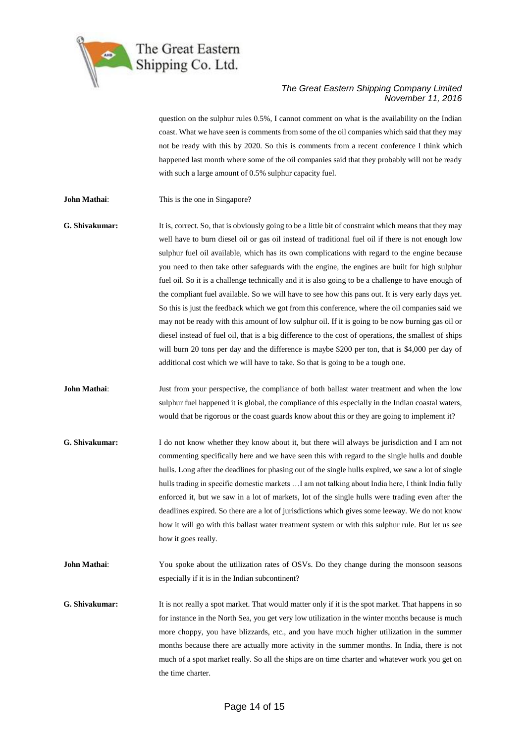

question on the sulphur rules 0.5%, I cannot comment on what is the availability on the Indian coast. What we have seen is comments from some of the oil companies which said that they may not be ready with this by 2020. So this is comments from a recent conference I think which happened last month where some of the oil companies said that they probably will not be ready with such a large amount of 0.5% sulphur capacity fuel.

- **John Mathai:** This is the one in Singapore?
- **G. Shivakumar:** It is, correct. So, that is obviously going to be a little bit of constraint which means that they may well have to burn diesel oil or gas oil instead of traditional fuel oil if there is not enough low sulphur fuel oil available, which has its own complications with regard to the engine because you need to then take other safeguards with the engine, the engines are built for high sulphur fuel oil. So it is a challenge technically and it is also going to be a challenge to have enough of the compliant fuel available. So we will have to see how this pans out. It is very early days yet. So this is just the feedback which we got from this conference, where the oil companies said we may not be ready with this amount of low sulphur oil. If it is going to be now burning gas oil or diesel instead of fuel oil, that is a big difference to the cost of operations, the smallest of ships will burn 20 tons per day and the difference is maybe \$200 per ton, that is \$4,000 per day of additional cost which we will have to take. So that is going to be a tough one.
- **John Mathai**: Just from your perspective, the compliance of both ballast water treatment and when the low sulphur fuel happened it is global, the compliance of this especially in the Indian coastal waters, would that be rigorous or the coast guards know about this or they are going to implement it?
- **G. Shivakumar:** I do not know whether they know about it, but there will always be jurisdiction and I am not commenting specifically here and we have seen this with regard to the single hulls and double hulls. Long after the deadlines for phasing out of the single hulls expired, we saw a lot of single hulls trading in specific domestic markets …I am not talking about India here, I think India fully enforced it, but we saw in a lot of markets, lot of the single hulls were trading even after the deadlines expired. So there are a lot of jurisdictions which gives some leeway. We do not know how it will go with this ballast water treatment system or with this sulphur rule. But let us see how it goes really.
- **John Mathai**: You spoke about the utilization rates of OSVs. Do they change during the monsoon seasons especially if it is in the Indian subcontinent?
- **G. Shivakumar:** It is not really a spot market. That would matter only if it is the spot market. That happens in so for instance in the North Sea, you get very low utilization in the winter months because is much more choppy, you have blizzards, etc., and you have much higher utilization in the summer months because there are actually more activity in the summer months. In India, there is not much of a spot market really. So all the ships are on time charter and whatever work you get on the time charter.